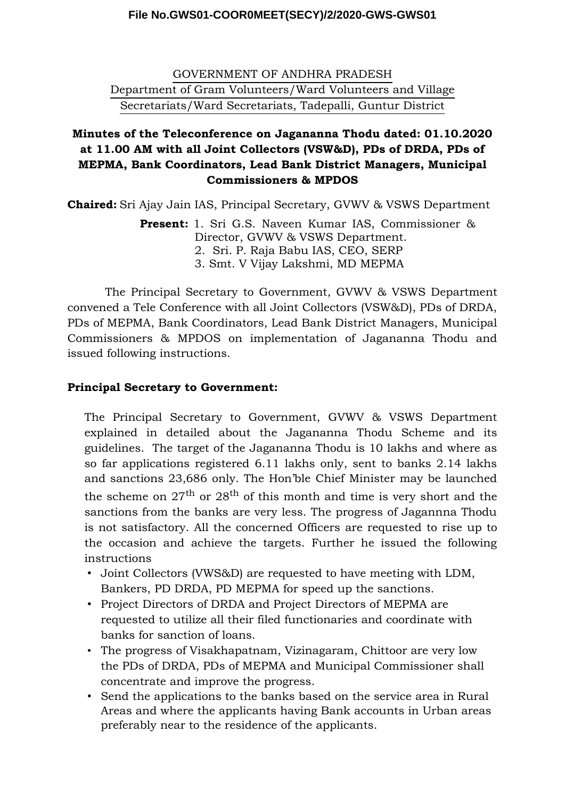#### **File No.GWS01-COOR0MEET(SECY)/2/2020-GWS-GWS01**

GOVERNMENT OF ANDHRA PRADESH

Department of Gram Volunteers/Ward Volunteers and Village Secretariats/Ward Secretariats, Tadepalli, Guntur District

# **Minutes of the Teleconference on Jagananna Thodu dated: 01.10.2020 at 11.00 AM with all Joint Collectors (VSW&D), PDs of DRDA, PDs of MEPMA, Bank Coordinators, Lead Bank District Managers, Municipal Commissioners & MPDOS**

**Chaired:** Sri Ajay Jain IAS, Principal Secretary, GVWV & VSWS Department

**Present:** 1. Sri G.S. Naveen Kumar IAS, Commissioner & Director, GVWV & VSWS Department. 2. Sri. P. Raja Babu IAS, CEO, SERP 3. Smt. V Vijay Lakshmi, MD MEPMA

The Principal Secretary to Government, GVWV & VSWS Department convened a Tele Conference with all Joint Collectors (VSW&D), PDs of DRDA, PDs of MEPMA, Bank Coordinators, Lead Bank District Managers, Municipal Commissioners & MPDOS on implementation of Jagananna Thodu and issued following instructions.

## **Principal Secretary to Government:**

The Principal Secretary to Government, GVWV & VSWS Department explained in detailed about the Jagananna Thodu Scheme and its guidelines. The target of the Jagananna Thodu is 10 lakhs and where as so far applications registered 6.11 lakhs only, sent to banks 2.14 lakhs and sanctions 23,686 only. The Hon'ble Chief Minister may be launched the scheme on  $27<sup>th</sup>$  or  $28<sup>th</sup>$  of this month and time is very short and the sanctions from the banks are very less. The progress of Jagannna Thodu is not satisfactory. All the concerned Officers are requested to rise up to the occasion and achieve the targets. Further he issued the following instructions

- Joint Collectors (VWS&D) are requested to have meeting with LDM, Bankers, PD DRDA, PD MEPMA for speed up the sanctions.
- Project Directors of DRDA and Project Directors of MEPMA are requested to utilize all their filed functionaries and coordinate with banks for sanction of loans.
- The progress of Visakhapatnam, Vizinagaram, Chittoor are very low the PDs of DRDA, PDs of MEPMA and Municipal Commissioner shall concentrate and improve the progress.
- Send the applications to the banks based on the service area in Rural Areas and where the applicants having Bank accounts in Urban areas preferably near to the residence of the applicants.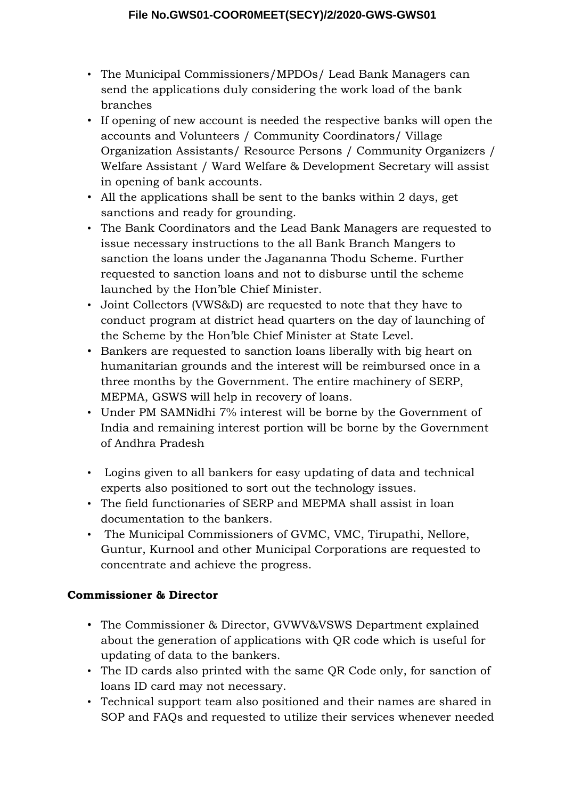- The Municipal Commissioners/MPDOs/ Lead Bank Managers can send the applications duly considering the work load of the bank branches
- If opening of new account is needed the respective banks will open the accounts and Volunteers / Community Coordinators/ Village Organization Assistants/ Resource Persons / Community Organizers / Welfare Assistant / Ward Welfare & Development Secretary will assist in opening of bank accounts.
- All the applications shall be sent to the banks within 2 days, get sanctions and ready for grounding.
- The Bank Coordinators and the Lead Bank Managers are requested to issue necessary instructions to the all Bank Branch Mangers to sanction the loans under the Jagananna Thodu Scheme. Further requested to sanction loans and not to disburse until the scheme launched by the Hon'ble Chief Minister.
- Joint Collectors (VWS&D) are requested to note that they have to conduct program at district head quarters on the day of launching of the Scheme by the Hon'ble Chief Minister at State Level.
- Bankers are requested to sanction loans liberally with big heart on humanitarian grounds and the interest will be reimbursed once in a three months by the Government. The entire machinery of SERP, MEPMA, GSWS will help in recovery of loans.
- Under PM SAMNidhi 7% interest will be borne by the Government of India and remaining interest portion will be borne by the Government of Andhra Pradesh
- Logins given to all bankers for easy updating of data and technical experts also positioned to sort out the technology issues.
- The field functionaries of SERP and MEPMA shall assist in loan documentation to the bankers.
- The Municipal Commissioners of GVMC, VMC, Tirupathi, Nellore, Guntur, Kurnool and other Municipal Corporations are requested to concentrate and achieve the progress.

# **Commissioner & Director**

- The Commissioner & Director, GVWV&VSWS Department explained about the generation of applications with QR code which is useful for updating of data to the bankers.
- The ID cards also printed with the same QR Code only, for sanction of loans ID card may not necessary.
- Technical support team also positioned and their names are shared in SOP and FAQs and requested to utilize their services whenever needed